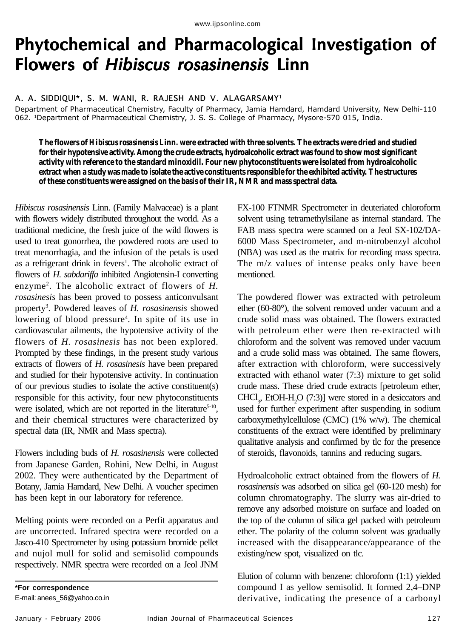## Phytochemical and Pharmacological Investigation of Flowers of Hibiscus rosasinensis Linn

A. A. SIDDIQUI\*, S. M. WANI, R. RAJESH AND V. ALAGARSAMY<sup>1</sup>

Department of Pharmaceutical Chemistry, Faculty of Pharmacy, Jamia Hamdard, Hamdard University, New Delhi-110 062. <sup>1</sup>Department of Pharmaceutical Chemistry, J. S. S. College of Pharmacy, Mysore-570 015, India.

**The flowers of** *Hibiscus rosasinensis* **Linn. were extracted with three solvents. The extracts were dried and studied for their hypotensive activity. Among the crude extracts, hydroalcoholic extract was found to show most significant activity with reference to the standard minoxidil. Four new phytoconstituents were isolated from hydroalcoholic extract when a study was made to isolate the active constituents responsible for the exhibited activity. The structures of these constituents were assigned on the basis of their IR, NMR and mass spectral data.**

*Hibiscus rosasinensis* Linn. (Family Malvaceae) is a plant with flowers widely distributed throughout the world. As a traditional medicine, the fresh juice of the wild flowers is used to treat gonorrhea, the powdered roots are used to treat menorrhagia, and the infusion of the petals is used as a refrigerant drink in fevers<sup>1</sup>. The alcoholic extract of flowers of *H. sabdariffa* inhibited Angiotensin-I converting enzyme2 . The alcoholic extract of flowers of *H. rosasinesis* has been proved to possess anticonvulsant property<sup>3</sup>. Powdered leaves of *H. rosasinensis* showed lowering of blood pressure<sup>4</sup>. In spite of its use in cardiovascular ailments, the hypotensive activity of the flowers of *H. rosasinesis* has not been explored. Prompted by these findings, in the present study various extracts of flowers of *H. rosasinesis* have been prepared and studied for their hypotensive activity. In continuation of our previous studies to isolate the active constituent(s) responsible for this activity, four new phytoconstituents were isolated, which are not reported in the literature<sup>5-10</sup>, and their chemical structures were characterized by spectral data (IR, NMR and Mass spectra).

Flowers including buds of *H. rosasinensis* were collected from Japanese Garden, Rohini, New Delhi, in August 2002. They were authenticated by the Department of Botany, Jamia Hamdard, New Delhi. A voucher specimen has been kept in our laboratory for reference.

Melting points were recorded on a Perfit apparatus and are uncorrected. Infrared spectra were recorded on a Jasco-410 Spectrometer by using potassium bromide pellet and nujol mull for solid and semisolid compounds respectively. NMR spectra were recorded on a Jeol JNM

**\*For correspondence**

E-mail: anees\_56@yahoo.co.in

FX-100 FTNMR Spectrometer in deuteriated chloroform solvent using tetramethylsilane as internal standard. The FAB mass spectra were scanned on a Jeol SX-102/DA-6000 Mass Spectrometer, and m-nitrobenzyl alcohol (NBA) was used as the matrix for recording mass spectra. The m/z values of intense peaks only have been mentioned.

The powdered flower was extracted with petroleum ether (60-80°), the solvent removed under vacuum and a crude solid mass was obtained. The flowers extracted with petroleum ether were then re-extracted with chloroform and the solvent was removed under vacuum and a crude solid mass was obtained. The same flowers, after extraction with chloroform, were successively extracted with ethanol water (7:3) mixture to get solid crude mass. These dried crude extracts [petroleum ether,  $CHCl<sub>3</sub>$ , EtOH-H<sub>2</sub>O (7:3)] were stored in a desiccators and used for further experiment after suspending in sodium carboxymethylcellulose (CMC) (1% w/w). The chemical constituents of the extract were identified by preliminary qualitative analysis and confirmed by tlc for the presence of steroids, flavonoids, tannins and reducing sugars.

Hydroalcoholic extract obtained from the flowers of *H. rosasinensis* was adsorbed on silica gel (60-120 mesh) for column chromatography. The slurry was air-dried to remove any adsorbed moisture on surface and loaded on the top of the column of silica gel packed with petroleum ether. The polarity of the column solvent was gradually increased with the disappearance/appearance of the existing/new spot, visualized on tlc.

Elution of column with benzene: chloroform (1:1) yielded compound I as yellow semisolid. It formed 2,4–DNP derivative, indicating the presence of a carbonyl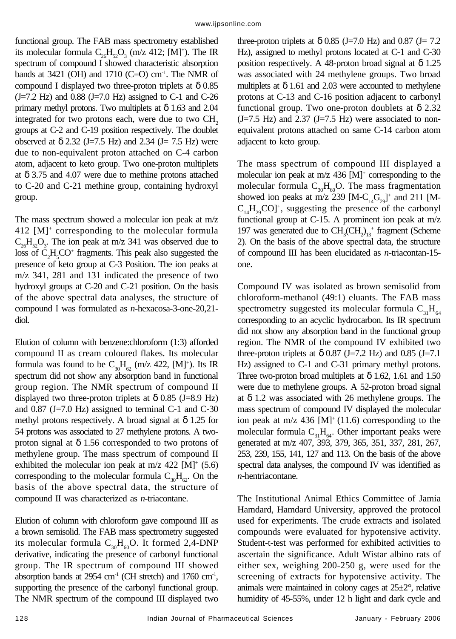functional group. The FAB mass spectrometry established its molecular formula  $C_{26}H_{52}O_3$  (m/z 412; [M]<sup>+</sup>). The IR spectrum of compound I showed characteristic absorption bands at 3421 (OH) and 1710 (C=O) cm<sup>-1</sup>. The NMR of compound I displayed two three-proton triplets at  $\delta$  0.85  $(J=7.2 \text{ Hz})$  and 0.88  $(J=7.0 \text{ Hz})$  assigned to C-1 and C-26 primary methyl protons. Two multiplets at  $\delta$  1.63 and 2.04 integrated for two protons each, were due to two  $CH<sub>2</sub>$ groups at C-2 and C-19 position respectively. The doublet observed at  $\delta$  2.32 (J=7.5 Hz) and 2.34 (J= 7.5 Hz) were due to non-equivalent proton attached on C-4 carbon atom, adjacent to keto group. Two one-proton multiplets at δ 3.75 and 4.07 were due to methine protons attached to C-20 and C-21 methine group, containing hydroxyl group.

The mass spectrum showed a molecular ion peak at m/z 412 [M]+ corresponding to the molecular formula  $C_{26}H_{52}O_3$ . The ion peak at m/z 341 was observed due to loss of  $C_2H_5CO^+$  fragments. This peak also suggested the presence of keto group at C-3 Position. The ion peaks at m/z 341, 281 and 131 indicated the presence of two hydroxyl groups at C-20 and C-21 position. On the basis of the above spectral data analyses, the structure of compound I was formulated as *n*-hexacosa-3-one-20,21 diol.

Elution of column with benzene:chloroform (1:3) afforded compound II as cream coloured flakes. Its molecular formula was found to be  $C_{30}H_{62}$  (m/z 422, [M]<sup>+</sup>). Its IR spectrum did not show any absorption band in functional group region. The NMR spectrum of compound II displayed two three-proton triplets at  $\delta$  0.85 (J=8.9 Hz) and  $0.87$  (J=7.0 Hz) assigned to terminal C-1 and C-30 methyl protons respectively. A broad signal at  $\delta$  1.25 for 54 protons was associated to 27 methylene protons. A twoproton signal at  $\delta$  1.56 corresponded to two protons of methylene group. The mass spectrum of compound II exhibited the molecular ion peak at  $m/z$  422 [M]<sup>+</sup> (5.6) corresponding to the molecular formula  $C_{30}H_{62}$ . On the basis of the above spectral data, the structure of compound II was characterized as *n*-triacontane.

Elution of column with chloroform gave compound III as a brown semisolid. The FAB mass spectrometry suggested its molecular formula  $C_{30}H_{60}O$ . It formed 2,4-DNP derivative, indicating the presence of carbonyl functional group. The IR spectrum of compound III showed absorption bands at  $2954$  cm<sup>-1</sup> (CH stretch) and  $1760$  cm<sup>-1</sup>, supporting the presence of the carbonyl functional group. The NMR spectrum of the compound III displayed two three-proton triplets at  $\delta$  0.85 (J=7.0 Hz) and 0.87 (J= 7.2 Hz), assigned to methyl protons located at C-1 and C-30 position respectively. A 48-proton broad signal at  $\delta$  1.25 was associated with 24 methylene groups. Two broad multiplets at  $\delta$  1.61 and 2.03 were accounted to methylene protons at C-13 and C-16 position adjacent to carbonyl functional group. Two one-proton doublets at  $\delta$  2.32  $(J=7.5 \text{ Hz})$  and 2.37  $(J=7.5 \text{ Hz})$  were associated to nonequivalent protons attached on same C-14 carbon atom adjacent to keto group.

The mass spectrum of compound III displayed a molecular ion peak at m/z 436 [M]<sup>+</sup> corresponding to the molecular formula  $C_{30}H_{60}O$ . The mass fragmentation showed ion peaks at m/z 239  $[M-C_{14}G_{29}]^+$  and 211 [M- $C_{14}H_{29}CO$ <sup>+</sup>, suggesting the presence of the carbonyl functional group at C-15. A prominent ion peak at m/z 197 was generated due to  $CH_3(CH_2)_{13}^+$  fragment (Scheme 2). On the basis of the above spectral data, the structure of compound III has been elucidated as *n*-triacontan-15 one.

Compound IV was isolated as brown semisolid from chloroform-methanol (49:1) eluants. The FAB mass spectrometry suggested its molecular formula  $C_{31}H_{64}$ corresponding to an acyclic hydrocarbon. Its IR spectrum did not show any absorption band in the functional group region. The NMR of the compound IV exhibited two three-proton triplets at  $\delta$  0.87 (J=7.2 Hz) and 0.85 (J=7.1 Hz) assigned to C-1 and C-31 primary methyl protons. Three two-proton broad multiplets at  $\delta$  1.62, 1.61 and 1.50 were due to methylene groups. A 52-proton broad signal at  $\delta$  1.2 was associated with 26 methylene groups. The mass spectrum of compound IV displayed the molecular ion peak at m/z 436  $[M]^+(11.6)$  corresponding to the molecular formula  $C_{31}H_{64}$ . Other important peaks were generated at m/z 407, 393, 379, 365, 351, 337, 281, 267, 253, 239, 155, 141, 127 and 113. On the basis of the above spectral data analyses, the compound IV was identified as *n*-hentriacontane.

The Institutional Animal Ethics Committee of Jamia Hamdard, Hamdard University, approved the protocol used for experiments. The crude extracts and isolated compounds were evaluated for hypotensive activity. Student-t-test was performed for exhibited activities to ascertain the significance. Adult Wistar albino rats of either sex, weighing 200-250 g, were used for the screening of extracts for hypotensive activity. The animals were maintained in colony cages at 25±2°, relative humidity of 45-55%, under 12 h light and dark cycle and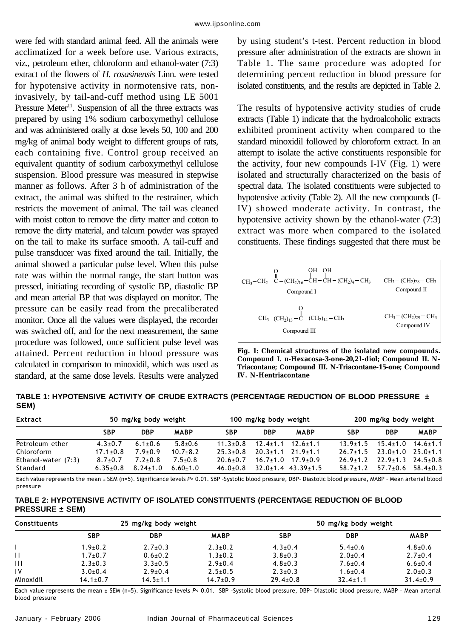were fed with standard animal feed. All the animals were acclimatized for a week before use. Various extracts, viz., petroleum ether, chloroform and ethanol-water (7:3) extract of the flowers of *H. rosasinensis* Linn. were tested for hypotensive activity in normotensive rats, noninvasively, by tail-and-cuff method using LE 5001 Pressure Meter<sup>11</sup>. Suspension of all the three extracts was prepared by using 1% sodium carboxymethyl cellulose and was administered orally at dose levels 50, 100 and 200 mg/kg of animal body weight to different groups of rats, each containing five. Control group received an equivalent quantity of sodium carboxymethyl cellulose suspension. Blood pressure was measured in stepwise manner as follows. After 3 h of administration of the extract, the animal was shifted to the restrainer, which restricts the movement of animal. The tail was cleaned with moist cotton to remove the dirty matter and cotton to remove the dirty material, and talcum powder was sprayed on the tail to make its surface smooth. A tail-cuff and pulse transducer was fixed around the tail. Initially, the animal showed a particular pulse level. When this pulse rate was within the normal range, the start button was pressed, initiating recording of systolic BP, diastolic BP and mean arterial BP that was displayed on monitor. The pressure can be easily read from the precaliberated monitor. Once all the values were displayed, the recorder was switched off, and for the next measurement, the same procedure was followed, once sufficient pulse level was attained. Percent reduction in blood pressure was calculated in comparison to minoxidil, which was used as standard, at the same dose levels. Results were analyzed

by using student's t-test. Percent reduction in blood pressure after administration of the extracts are shown in Table 1. The same procedure was adopted for determining percent reduction in blood pressure for isolated constituents, and the results are depicted in Table 2.

The results of hypotensive activity studies of crude extracts (Table 1) indicate that the hydroalcoholic extracts exhibited prominent activity when compared to the standard minoxidil followed by chloroform extract. In an attempt to isolate the active constituents responsible for the activity, four new compounds I-IV (Fig. 1) were isolated and structurally characterized on the basis of spectral data. The isolated constituents were subjected to hypotensive activity (Table 2). All the new compounds (I-IV) showed moderate activity. In contrast, the hypotensive activity shown by the ethanol-water (7:3) extract was more when compared to the isolated constituents. These findings suggested that there must be

| он он<br>$\Omega$ and $\Omega$<br>$CH_3$ -CH <sub>2</sub> - C - (CH <sub>2</sub> ) <sub>16</sub> - CH - CH - (CH <sub>2</sub> ) <sub>4</sub> - CH <sub>3</sub><br>Compound I | $CH_3$ – $(CH_2)_{28}$ – $CH_3$<br>Compound II |
|------------------------------------------------------------------------------------------------------------------------------------------------------------------------------|------------------------------------------------|
| $CH_3-(CH_2)_{13} - \overset{\text{II}}{\text{C}} - (CH_2)_{14} - CH_3$                                                                                                      | $CH_3$ – $(CH_2)_{29}$ – $CH_3$                |
| Compound III                                                                                                                                                                 | Compound IV                                    |

**Fig. 1: Chemical structures of the isolated new compounds. Compound I. n-Hexacosa-3-one-20,21-diol; Compound II. N-Triacontane; Compound III. N-Triacontane-15-one; Compound IV. N-Hentriacontane**

**TABLE 1: HYPOTENSIVE ACTIVITY OF CRUDE EXTRACTS (PERCENTAGE REDUCTION OF BLOOD PRESSURE ± SEM)**

| Extract             | 50 mg/kg body weight |                |                | 100 mg/kg body weight |                               | 200 mg/kg body weight          |              |                                              |             |
|---------------------|----------------------|----------------|----------------|-----------------------|-------------------------------|--------------------------------|--------------|----------------------------------------------|-------------|
|                     | <b>SBP</b>           | <b>DBP</b>     | <b>MABP</b>    | <b>SBP</b>            | <b>DBP</b>                    | <b>MABP</b>                    | <b>SBP</b>   | <b>DBP</b>                                   | <b>MABP</b> |
| Petroleum ether     | $4.3 \pm 0.7$        | $6.1 \pm 0.6$  | $5.8 + 0.6$    | $11.3 + 0.8$          |                               | $12.4 \pm 1.1$ $12.6 \pm 1.1$  | $13.9 + 1.5$ | $15.4 \pm 1.0$ $14.6 \pm 1.1$                |             |
| Chloroform          | $17.1 \pm 0.8$       | $7.9 \pm 0.9$  | $10.7 + 8.2$   | $25.3 \pm 0.8$        | $20.3 \pm 1.1$ $21.9 \pm 1.1$ |                                | $76.7 + 1.5$ | $23.0 \pm 1.0$ $25.0 \pm 1.1$                |             |
| Ethanol-water (7:3) | $8.7 \pm 0.7$        | $7.2 + 0.8$    | $7.5 + 0.8$    | $70.6 + 0.7$          |                               | $16.7+1.0$ $17.9+0.9$          | $76.9 + 1.7$ | $22.9 \pm 1.3$ $24.5 \pm 0.8$                |             |
| Standard            | $6.35 \pm 0.8$       | $8.24 \pm 1.0$ | $6.60 \pm 1.0$ | $46.0{\pm}0.8$        |                               | $32.0 \pm 1.4$ 43.39 $\pm 1.5$ |              | $58.7 \pm 1.2$ $57.7 \pm 0.6$ $58.4 \pm 0.3$ |             |

Each value represents the mean ± SEM (n=5). Significance levels P< 0.01. SBP -Systolic blood pressure, DBP- Diastolic blood pressure, MABP - Mean arterial blood pressure

## **TABLE 2: HYPOTENSIVE ACTIVITY OF ISOLATED CONSTITUENTS (PERCENTAGE REDUCTION OF BLOOD PRESSURE ± SEM)**

| <b>Constituents</b> |                | 25 mg/kg body weight |                | 50 mg/kg body weight |                |                |  |
|---------------------|----------------|----------------------|----------------|----------------------|----------------|----------------|--|
|                     | <b>SBP</b>     | DBP                  | <b>MABP</b>    | <b>SBP</b>           | <b>DBP</b>     | <b>MABP</b>    |  |
|                     | $1.9 + 0.2$    | $2.7+0.3$            | $2.3 \pm 0.2$  | $4.3 \pm 0.4$        | $5.4 \pm 0.6$  | $4.8 + 0.6$    |  |
|                     | $1.7 + 0.7$    | $0.6 + 0.2$          | $1.3 \pm 0.2$  | $3.8 + 0.3$          | $2.0+0.4$      | $2.7+0.4$      |  |
| Ш                   | $2.3 \pm 0.3$  | $3.3 \pm 0.5$        | $2.9 + 0.4$    | $4.8 + 0.3$          | $7.6 \pm 0.4$  | $6.6 \pm 0.4$  |  |
| IV                  | $3.0+0.4$      | $2.9 + 0.4$          | $2.5 \pm 0.5$  | $2.3 \pm 0.3$        | $1.6 + 0.4$    | $2.0 \pm 0.3$  |  |
| Minoxidil           | $14.1 \pm 0.7$ | $14.5 \pm 1.1$       | $14.7 \pm 0.9$ | $29.4 \pm 0.8$       | $32.4 \pm 1.1$ | $31.4 \pm 0.9$ |  |

Each value represents the mean ± SEM (n=5). Significance levels P< 0.01. SBP -Systolic blood pressure, DBP- Diastolic blood pressure, MABP - Mean arterial blood pressure